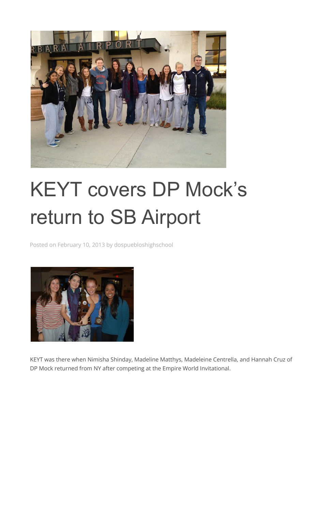

## KEYT covers DP Mock's return to SB Airport

Posted on February 10, 2013 by dospuebloshighschool



KEYT was there when Nimisha Shinday, Madeline Matthys, Madeleine Centrella, and Hannah Cruz of DP Mock returned from NY after competing at the Empire World Invitational.